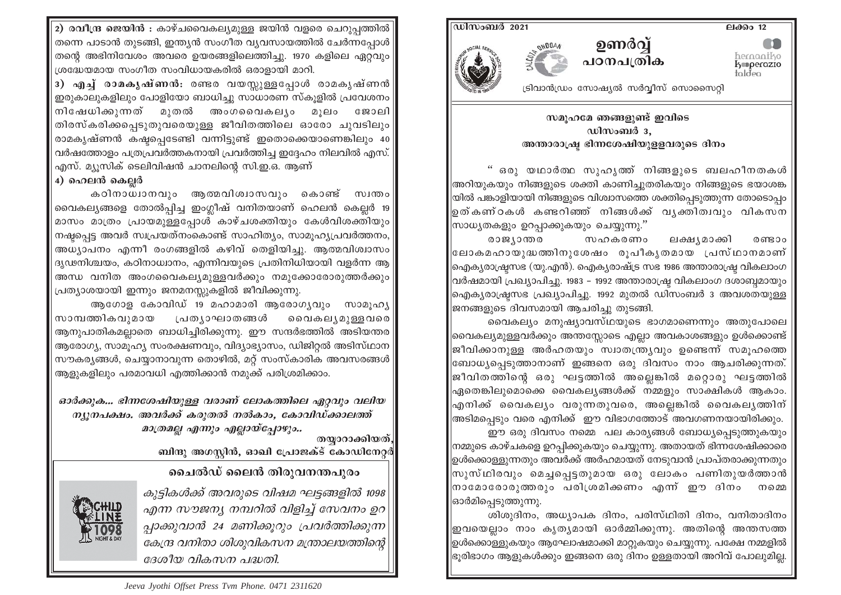2) രവീന്ദ്ര ജെയിൻ : കാഴ്ചവൈകല്യമുള്ള ജയിൻ വളരെ ചെറുപത്തിൽ $\mid$ തന്നെ പാടാൻ തുടങ്ങി, ഇന്ത്യൻ സംഗീത വ്യവസായത്തിൽ ചേർന്നപ്പോൾ തന്റെ അഭിനിവേശം അവരെ ഉയരങ്ങളിലെത്തിച്ചു. 1970 കളിലെ ഏറ്റവും ശ്രദ്ധേയമായ സംഗീത സംവിധായകരിൽ ഒരാളായി മാറി.

3) എച്ച് രാമകൃഷ്ണൻ: രണ്ടര വയസ്സുള്ളപ്പോൾ രാമകൃഷ്ണൻ $\vert$ ഇരുകാലുകളിലും പോളിയോ ബാധിച്ചു സാധാരണ സ്കൂളിൽ പ്രവേശനം നിഷേധിക്കുന്നത് മുതൽ അംഗവൈകല്യം മുലം ജോലി തിരസ്കരിക്കപ്പെടുതുവരെയുള്ള ജീവിതത്തിലെ ഓരോ ചുവടിലും രാമകൃഷ്ണൻ കഷ്ഠപ്പെടേണ്ടി വന്നിട്ടുണ്ട് ഇതൊക്കെയാണെങ്കിലും 40 വർഷത്തോളം പത്രപ്രവർത്തകനായി പ്രവർത്തിച്ച ഇദ്ദേഹം നിലവിൽ എസ്. എസ്. മ്യൂസിക് ടെലിവിഷൻ ചാനലിന്റെ സി.ഇ.ഒ. ആണ്

## 4) ഹെലൻ കെല്ലർ

കഠിനാധ്വാനവും ആത്മവിശ്വാസവും കൊണ്ട് സ്വന്തം വൈകല്യങ്ങളെ തോൽപ്പിച്ച ഇംഗ്ലീഷ് വനിതയാണ് ഹെലൻ കെലർ 19 മാസം മാത്രം പ്രായമുള്ളപ്പോൾ കാഴ്ചശക്തിയും കേൾവിശക്തിയും നഷ്ടപ്പെട്ട അവർ സ്വപ്രയത്നംകൊണ്ട് സാഹിത്യം, സാമൂഹ്യപ്രവർത്തനം, അധ്യാപനം എന്നീ രംഗങ്ങളിൽ കഴിവ് തെളിയിച്ചു. ആത്മവിശ്വാസം ദൃഢനിശ്ചയം, കഠിനാധ്വാനം, എന്നിവയുടെ പ്രതിനിധിയായി വളർന്ന ആ അന്ധ വനിത അംഗവൈകല്യമുള്ളവർക്കും നമുക്കോരോരുത്തർക്കും പ്രത്യാശയായി ഇന്നും ജനമനസ്സുകളിൽ ജീവിക്കുന്നു.

ആഗോള കോവിഡ് 19 മഹാമാരി ആരോഗൃവും സാമൂഹൃ സാമ്പത്തികവുമായ പ്രത്യാഘാതങ്ങൾ ൈവകല്യമുള്ളവരെ ആനുപാതികമല്ലാതെ ബാധിച്ചിരിക്കുന്നു. ഈ സന്ദർഭത്തിൽ അടിയന്തര ആരോഗ്യ, സാമുഹ്യ സംരക്ഷണവും, വിദ്യാഭ്യാസം, ഡിജിറ്റൽ അടിസ്ഥാന സൗകര്യങ്ങൾ, ചെയ്യാനാവുന്ന തൊഴിൽ, മറ്റ് സംസ്കാരിക അവസരങ്ങൾ ആളുകളിലും പരമാവധി എത്തിക്കാൻ നമുക്ക് പരിശ്രമിക്കാം.

ഓർക്കുക... ഭിന്നശേഷിയുള്ള വരാണ് ലോകത്തിലെ ഏറ്റവും വലിയ ന്യുനപക്ഷം. അവർക്ക് കരുതൽ നൽകാം, കോവിഡ്ക്കാലത്ത് മാത്രമല്ല എന്നും എല്ലായ്പ്പോഴും..

തയ്യാറാക്കിയത്, ബിന്ദു അഗസ്റ്റിൻ, ഓഖി പ്രോജക്ട് കോഡിനേറ്റർ

## ചൈൽഡ് ലൈൻ തിരുവനന്തപുരം

കുട്ടികൾക്ക് അവരുടെ വിഷമ ഘട്ടങ്ങളിൽ 1098 എന്ന സൗജന്യ നമ്പറിൽ വിളിച്ച് സേവനം ഉറ പ്പാക്കുവാൻ 24 മണിക്കുറും പ്രവർത്തിക്കുന്ന കേന്ദ്ര വനിതാ ശിശുവികസന മന്ത്രാലയത്തിന്റെ ദേശീയ വികസന പദ്ധതി.





## സമൂഹമേ ഞങ്ങളുണ്ട് ഇവിടെ ഡിസംബർ 3. അന്താരാഷ്ട്ര ഭിന്നശേഷിയുള്ളവരുടെ ദിനം

hernaniko<br>**koperazio**<br>taldea

" ഒരു യഥാർത്ഥ സുഹൃത്ത് നിങ്ങളുടെ ബലഹീനതകൾ |അറിയുകയും നിങ്ങളുടെ ശക്തി കാണിച്ചുതരികയും നിങ്ങളുടെ ഭയാശങ്ക യിൽ പങ്കാളിയായി നിങ്ങളുടെ വിശ്വാസത്തെ ശക്തിപെടുത്തുന്ന തോടൊപം ഉത്കണ്ഠകൾ കണ്ടറിഞ്ഞ് നിങ്ങൾക്ക് വൃക്തിത്വവും വികസന |സാധ്യതകളും ഉറപ്പാക്കുകയും ചെയ്യുന്നു.''

രാജ്യാന്തര സഹകരണം ലക്ഷൃമാക്കി രണ്ടാം ∣ലോകമഹായുദ്ധത്തിനുശേഷം രുപീകൃതമായ ∟പസ്ഥാനമാണ് |ഐക്യരാഷ്ട്രസഭ (യു.എൻ). ഐക്യരാഷ്ട്ര സഭ 1986 അന്താരാഷ്ട്ര വികലാംഗ വർഷമായി പ്രഖ്യാപിച്ചു. 1983 – 1992 അന്താരാഷ്ട്ര വികലാംഗ ദശാബ്ദമായും ഐക്യരാഷ്ട്രസഭ പ്രഖ്യാപിച്ചു. 1992 മുതൽ ഡിസംബർ 3 അവശതയുള്ള ജനങ്ങളുടെ ദിവസമായി ആചരിച്ചു തുടങ്ങി.

വൈകല്യം മനുഷ്യാവസ്ഥയുടെ ഭാഗമാണെന്നും അതുപോലെ |വൈകല്യമുള്ളവർക്കും അന്തസ്സോടെ എല്ലാ അവകാശങ്ങളും ഉൾക്കൊണ്ട് ജീവിക്കാനുള്ള അർഹതയും സ്വാതന്ത്ര്യവും ഉണ്ടെന്ന് സമുഹത്തെ |ബോധ്യപെടുത്താനാണ് ഇങ്ങനെ ഒരു ദിവസം നാം ആചരിക്കുന്നത്. |ജീവിതത്തിന്റെ ഒരു ഘട്ടത്തിൽ അല്ലെങ്കിൽ മറ്റൊരു ഘട്ടത്തിൽ |ഏതെങ്കിലുമൊക്കെ വൈകലൃങ്ങൾക്ക് നമ്മളും സാക്ഷികൾ ആകാം. എനിക്ക് വൈകല്യം വരുന്നതുവരെ, അല്ലെങ്കിൽ വൈകല്യത്തിന് |അടിമപ്പെടും വരെ എനിക്ക് ഈ വിഭാഗത്തോട് അവഗണനയായിരിക്കും.

ഈ ഒരു ദിവസം നമ്മെ പല കാര്യങ്ങൾ ബോധ്യപ്പെടുത്തുകയും |നമ്മുടെ കാഴ്ചകളെ ഉറപ്പിക്കുകയും ചെയ്യുന്നു. അതായത് ഭിന്നശേഷിക്കാരെ ഉൾക്കൊള്ളുന്നതും അവർക്ക് അർഹമായത് നേടുവാൻ പ്രാപ്തരാക്കുന്നതും |സുസ്ഥിരവും മെച്ചപ്പെട്ടതുമായ ഒരു ലോകം പണിതുയർത്താൻ |നാമോരോരുത്തരും പരിശ്രമിക്കണം എന്ന് ഈ ദിനം നമെ |ഓർമിപ്പെടുത്തുന്നു.

ശിശുദിനം, അധ്യാപക ദിനം, പരിസ്ഥിതി ദിനം, വനിതാദിനം |ഇവയെല്ലാം നാം കൃതൃമായി ഓർമ്മിക്കുന്നു. അതിന്റെ അന്തസത്ത |ഉൾക്കൊള്ളുകയും ആഘോഷമാക്കി മാറ്റുകയും ചെയ്യുന്നു. പക്ഷേ നമ്മളിൽ ഭുരിഭാഗം ആളുകൾക്കും ഇങ്ങനെ ഒരു ദിനം ഉള്ളതായി അറിവ് പോലുമില്ല.